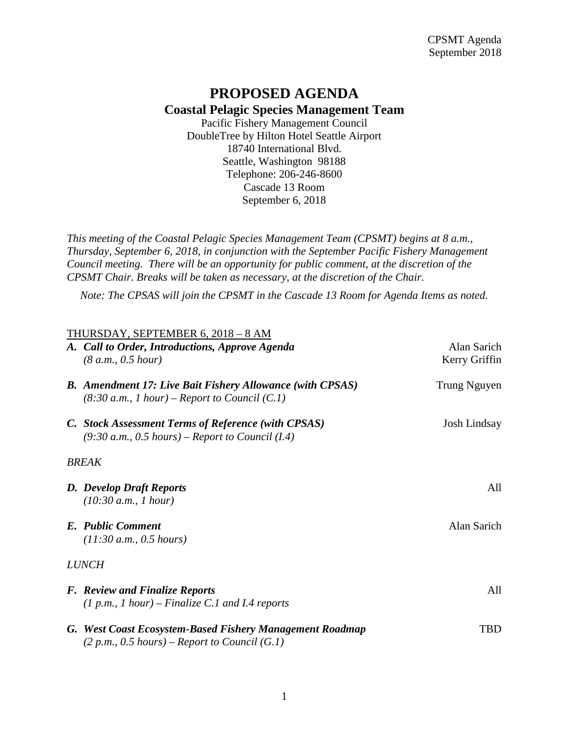## **PROPOSED AGENDA Coastal Pelagic Species Management Team**

Pacific Fishery Management Council DoubleTree by Hilton Hotel Seattle Airport 18740 International Blvd. Seattle, Washington 98188 Telephone: 206-246-8600 Cascade 13 Room September 6, 2018

*This meeting of the Coastal Pelagic Species Management Team (CPSMT) begins at 8 a.m., Thursday, September 6, 2018, in conjunction with the September Pacific Fishery Management Council meeting. There will be an opportunity for public comment, at the discretion of the CPSMT Chair. Breaks will be taken as necessary, at the discretion of the Chair.*

*Note: The CPSAS will join the CPSMT in the Cascade 13 Room for Agenda Items as noted.*

|              | THURSDAY, SEPTEMBER 6, 2018 - 8 AM                                                                                  |                              |  |
|--------------|---------------------------------------------------------------------------------------------------------------------|------------------------------|--|
|              | A. Call to Order, Introductions, Approve Agenda<br>(8 a.m., 0.5 hour)                                               | Alan Sarich<br>Kerry Griffin |  |
|              |                                                                                                                     |                              |  |
|              | <b>B.</b> Amendment 17: Live Bait Fishery Allowance (with CPSAS)<br>$(8:30 a.m., 1 hour)$ – Report to Council (C.1) | Trung Nguyen                 |  |
|              | C. Stock Assessment Terms of Reference (with CPSAS)<br>$(9:30 a.m., 0.5 hours)$ – Report to Council (I.4)           | Josh Lindsay                 |  |
| <b>BREAK</b> |                                                                                                                     |                              |  |
|              | <b>D.</b> Develop Draft Reports                                                                                     | A11                          |  |
|              | (10:30 a.m., 1 hour)                                                                                                |                              |  |
|              | E. Public Comment                                                                                                   | Alan Sarich                  |  |
|              | (11:30 a.m., 0.5 hours)                                                                                             |                              |  |
| <i>LUNCH</i> |                                                                                                                     |                              |  |
|              | <b>F.</b> Review and Finalize Reports                                                                               | All                          |  |
|              | $(1 p.m., 1 hour) - Finalize C.1 and I.4 reports$                                                                   |                              |  |
|              | G. West Coast Ecosystem-Based Fishery Management Roadmap                                                            | TBD                          |  |
|              | $(2 p.m., 0.5 hours)$ – Report to Council $(G.1)$                                                                   |                              |  |